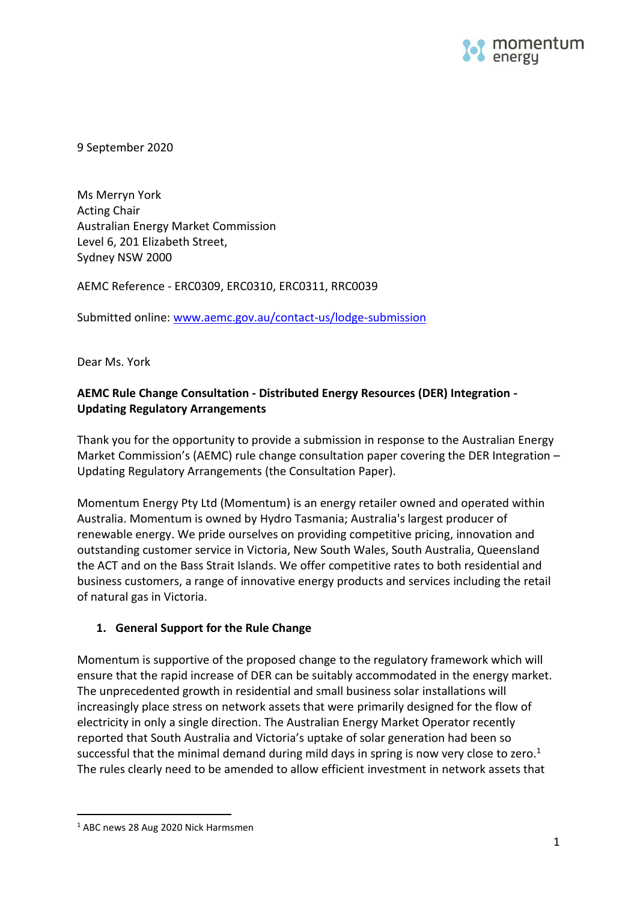

9 September 2020

Ms Merryn York Acting Chair Australian Energy Market Commission Level 6, 201 Elizabeth Street, Sydney NSW 2000

AEMC Reference - ERC0309, ERC0310, ERC0311, RRC0039

Submitted online: [www.aemc.gov.au/contact-us/lodge-submission](http://www.aemc.gov.au/contact-us/lodge-submission)

Dear Ms. York

## **AEMC Rule Change Consultation - Distributed Energy Resources (DER) Integration - Updating Regulatory Arrangements**

Thank you for the opportunity to provide a submission in response to the Australian Energy Market Commission's (AEMC) rule change consultation paper covering the DER Integration – Updating Regulatory Arrangements (the Consultation Paper).

Momentum Energy Pty Ltd (Momentum) is an energy retailer owned and operated within Australia. Momentum is owned by [Hydro Tasmania;](http://www.momentumenergy.com.au/about-us/hydro-tasmania-group) Australia's largest producer of renewable energy. We pride ourselves on providing competitive pricing, innovation and outstanding customer service in Victoria, New South Wales, South Australia, Queensland the ACT and on the Bass Strait Islands. We offer competitive rates to both residential and business customers, a range of innovative energy products and services including the retail of natural gas in Victoria.

### **1. General Support for the Rule Change**

Momentum is supportive of the proposed change to the regulatory framework which will ensure that the rapid increase of DER can be suitably accommodated in the energy market. The unprecedented growth in residential and small business solar installations will increasingly place stress on network assets that were primarily designed for the flow of electricity in only a single direction. The Australian Energy Market Operator recently reported that South Australia and Victoria's uptake of solar generation had been so successful that the minimal demand during mild days in spring is now very close to zero.<sup>1</sup> The rules clearly need to be amended to allow efficient investment in network assets that

 $\overline{a}$ 

<sup>1</sup> ABC news 28 Aug 2020 Nick Harmsmen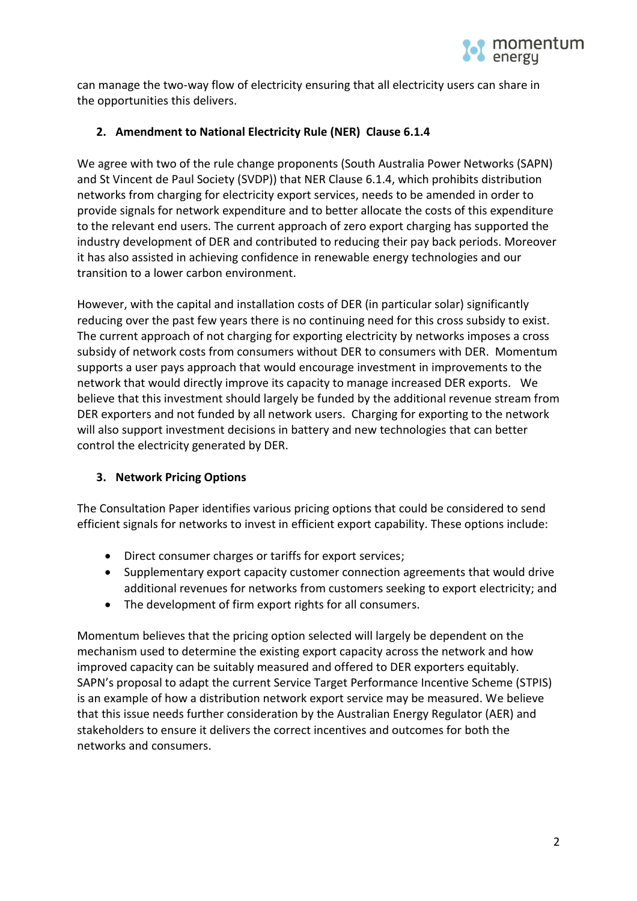

can manage the two-way flow of electricity ensuring that all electricity users can share in the opportunities this delivers.

# **2. Amendment to National Electricity Rule (NER) Clause 6.1.4**

We agree with two of the rule change proponents (South Australia Power Networks (SAPN) and St Vincent de Paul Society (SVDP)) that NER Clause 6.1.4, which prohibits distribution networks from charging for electricity export services, needs to be amended in order to provide signals for network expenditure and to better allocate the costs of this expenditure to the relevant end users. The current approach of zero export charging has supported the industry development of DER and contributed to reducing their pay back periods. Moreover it has also assisted in achieving confidence in renewable energy technologies and our transition to a lower carbon environment.

However, with the capital and installation costs of DER (in particular solar) significantly reducing over the past few years there is no continuing need for this cross subsidy to exist. The current approach of not charging for exporting electricity by networks imposes a cross subsidy of network costs from consumers without DER to consumers with DER. Momentum supports a user pays approach that would encourage investment in improvements to the network that would directly improve its capacity to manage increased DER exports. We believe that this investment should largely be funded by the additional revenue stream from DER exporters and not funded by all network users. Charging for exporting to the network will also support investment decisions in battery and new technologies that can better control the electricity generated by DER.

### **3. Network Pricing Options**

The Consultation Paper identifies various pricing options that could be considered to send efficient signals for networks to invest in efficient export capability. These options include:

- Direct consumer charges or tariffs for export services;
- Supplementary export capacity customer connection agreements that would drive additional revenues for networks from customers seeking to export electricity; and
- The development of firm export rights for all consumers.

Momentum believes that the pricing option selected will largely be dependent on the mechanism used to determine the existing export capacity across the network and how improved capacity can be suitably measured and offered to DER exporters equitably. SAPN's proposal to adapt the current Service Target Performance Incentive Scheme (STPIS) is an example of how a distribution network export service may be measured. We believe that this issue needs further consideration by the Australian Energy Regulator (AER) and stakeholders to ensure it delivers the correct incentives and outcomes for both the networks and consumers.